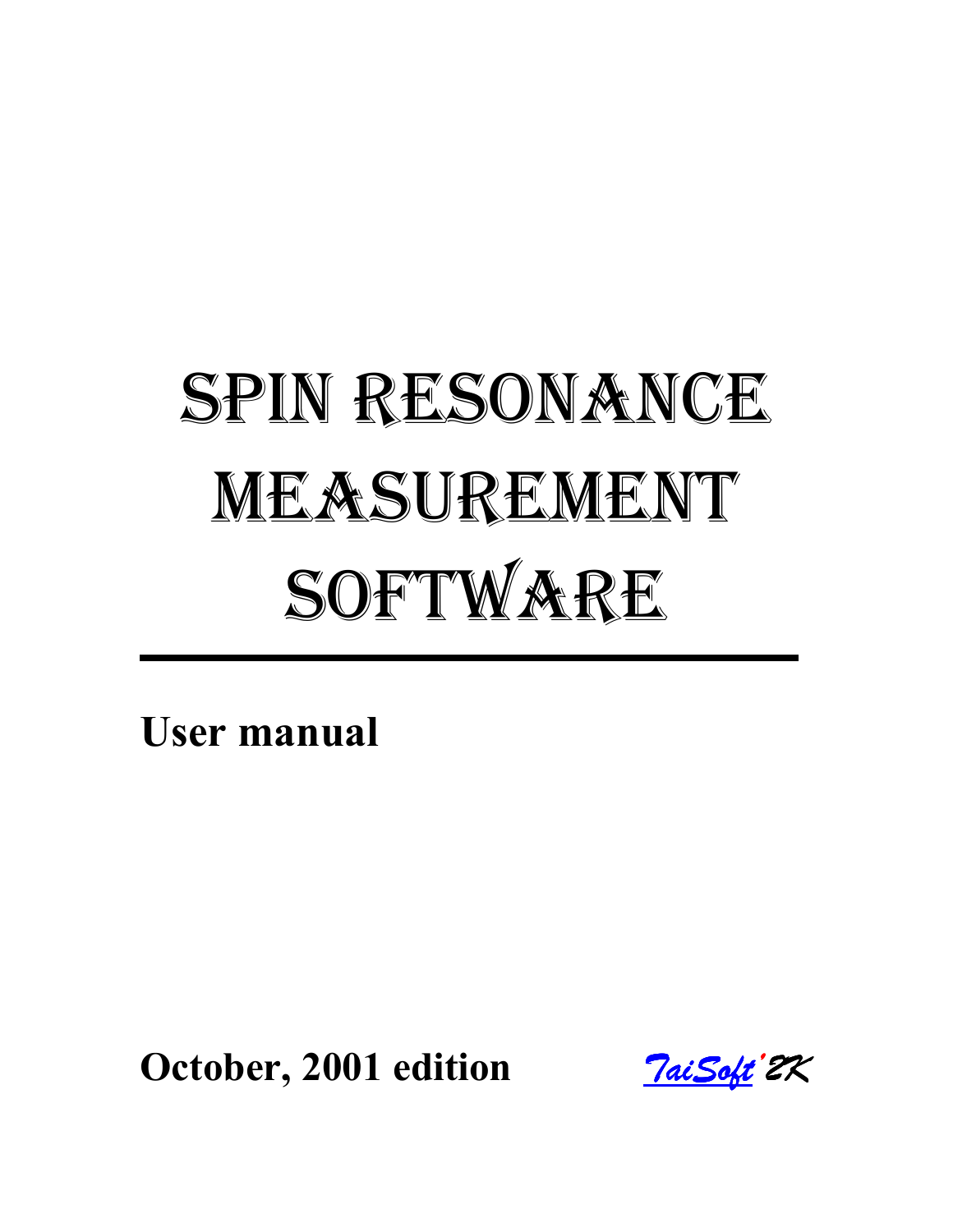# SPIN RESONANCE MEASUREMENT SOFTWARE

**User manual** 

**October, 2001 edition** *TaiSoft [TaiSoft'](http://www.teimuraz.net/Index.htm)2K*

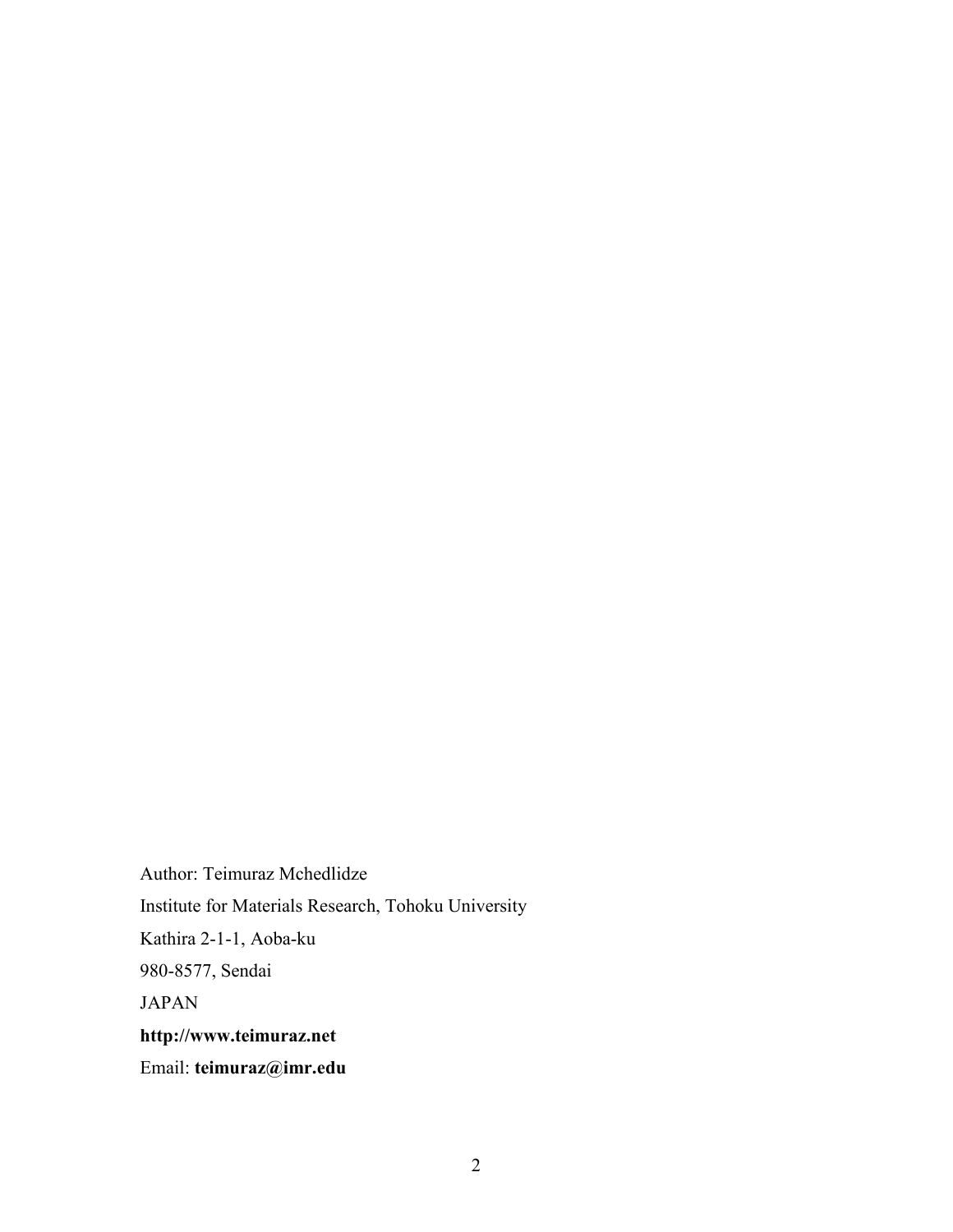Author: Teimuraz Mchedlidze Institute for Materials Research, Tohoku University Kathira 2-1-1, Aoba-ku 980-8577, Sendai JAPAN **http://www.teimuraz.net** Email: **teimuraz@imr.edu**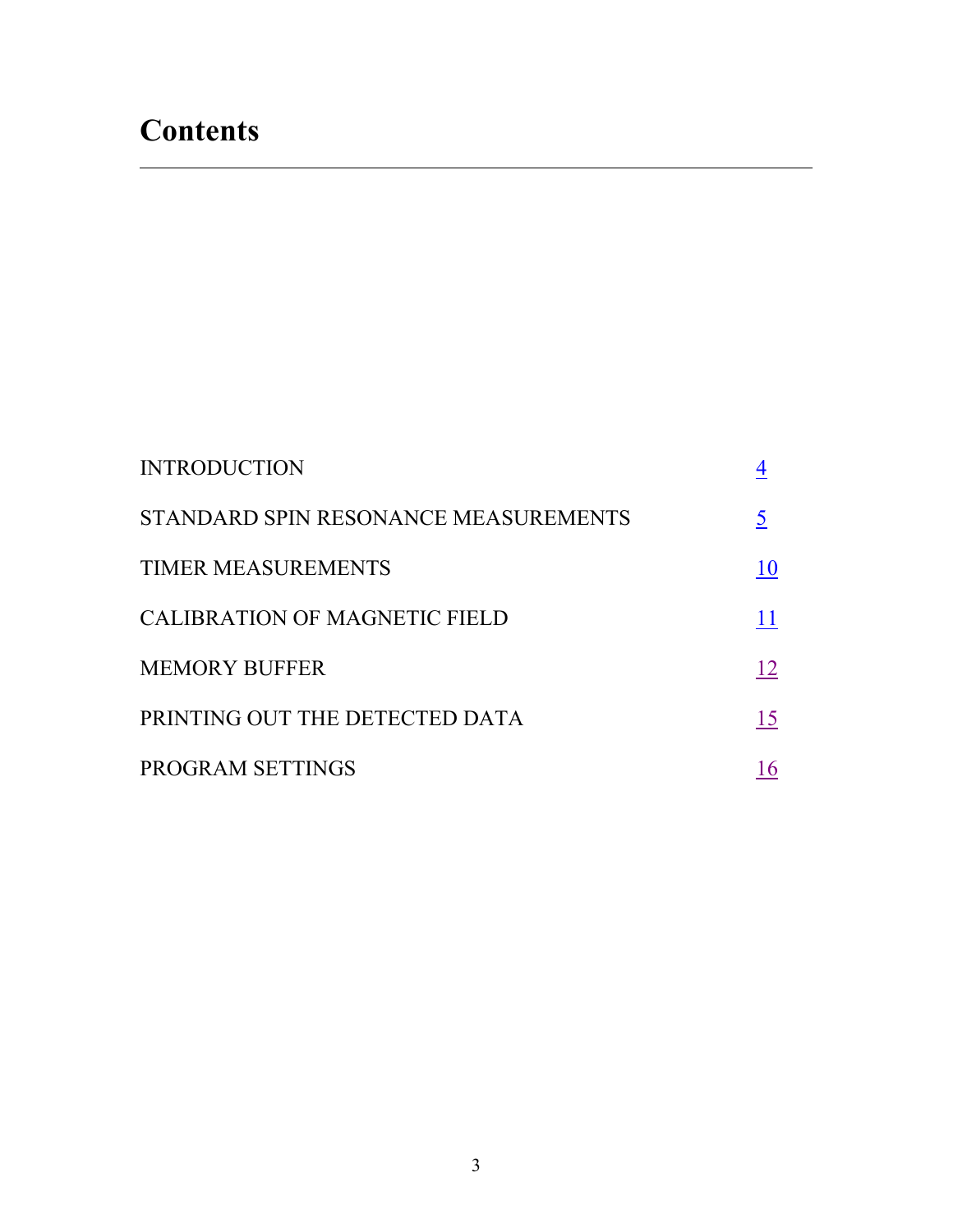| <b>INTRODUCTION</b>                  |    |
|--------------------------------------|----|
| STANDARD SPIN RESONANCE MEASUREMENTS |    |
| <b>TIMER MEASUREMENTS</b>            | 10 |
| <b>CALIBRATION OF MAGNETIC FIELD</b> | 11 |
| <b>MEMORY BUFFER</b>                 | 12 |
| PRINTING OUT THE DETECTED DATA       | 15 |
| PROGRAM SETTINGS                     | 16 |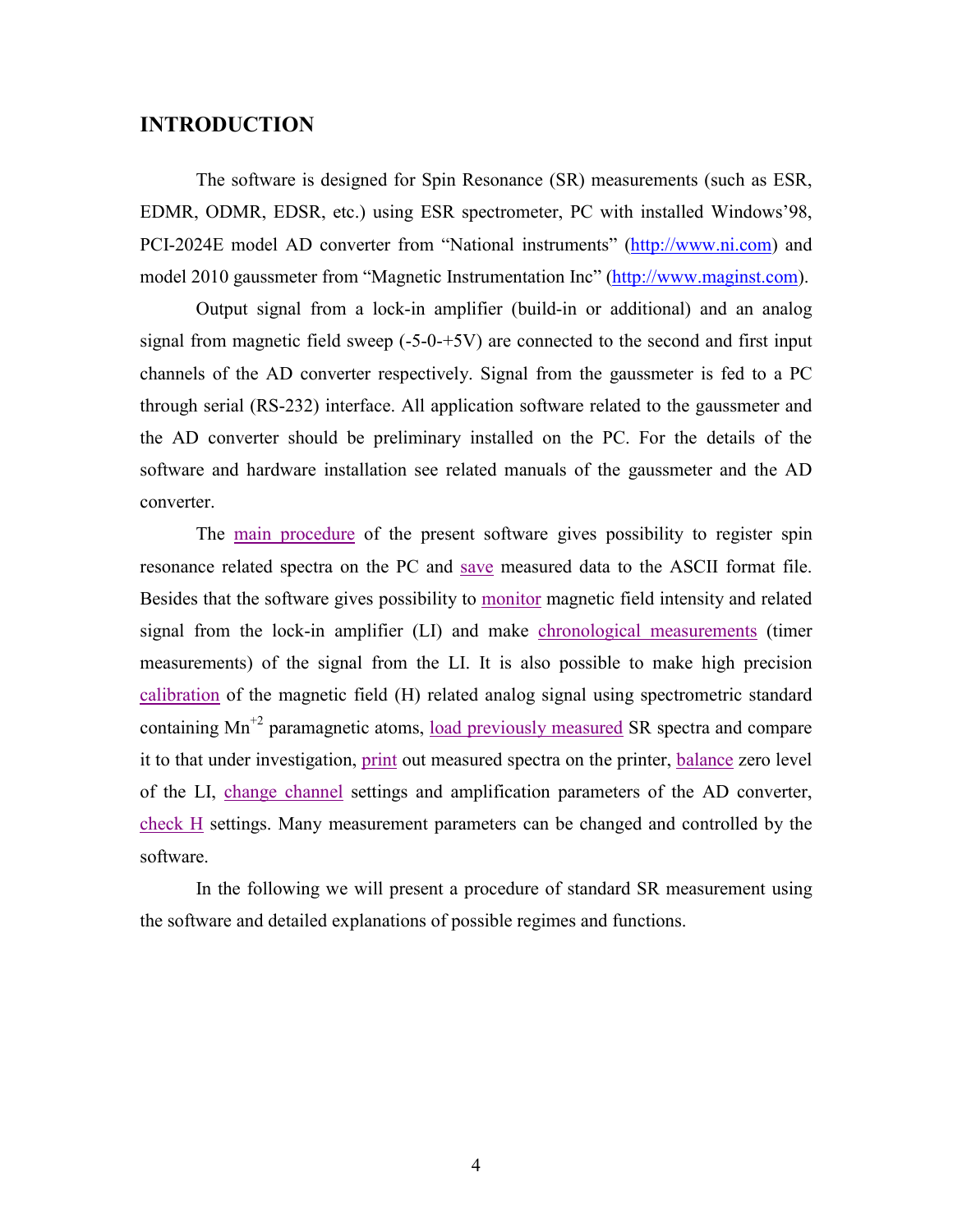### <span id="page-3-0"></span>**INTRODUCTION**

The software is designed for Spin Resonance (SR) measurements (such as ESR, EDMR, ODMR, EDSR, etc.) using ESR spectrometer, PC with installed Windows'98, PCI-2024E model AD converter from "National instruments" ([http://www.ni.com\)](http://www.ni.com/) and model 2010 gaussmeter from "Magnetic Instrumentation Inc" ([http://www.maginst.com\)](http://www.maginst.com/).

 Output signal from a lock-in amplifier (build-in or additional) and an analog signal from magnetic field sweep (-5-0-+5V) are connected to the second and first input channels of the AD converter respectively. Signal from the gaussmeter is fed to a PC through serial (RS-232) interface. All application software related to the gaussmeter and the AD converter should be preliminary installed on the PC. For the details of the software and hardware installation see related manuals of the gaussmeter and the AD converter.

 The [main procedure](#page-4-0) of the present software gives possibility to register spin resonance related spectra on the PC and [save](#page-8-0) measured data to the ASCII format file. Besides that the software gives possibility to [monitor](#page-4-0) magnetic field intensity and related signal from the lock-in amplifier (LI) and make [chronological measurements](#page-9-0) (timer measurements) of the signal from the LI. It is also possible to make high precision [calibration](#page-10-0) of the magnetic field (H) related analog signal using spectrometric standard containing  $Mn^{2}$  paramagnetic atoms, [load previously measured](#page-11-0) SR spectra and compare it to that under investigation, [print](#page-14-0) out measured spectra on the printer, [balance](#page-4-0) zero level of the LI, [change channel](#page-15-0) settings and amplification parameters of the AD converter, [check H](#page-6-0) settings. Many measurement parameters can be changed and controlled by the software.

 In the following we will present a procedure of standard SR measurement using the software and detailed explanations of possible regimes and functions.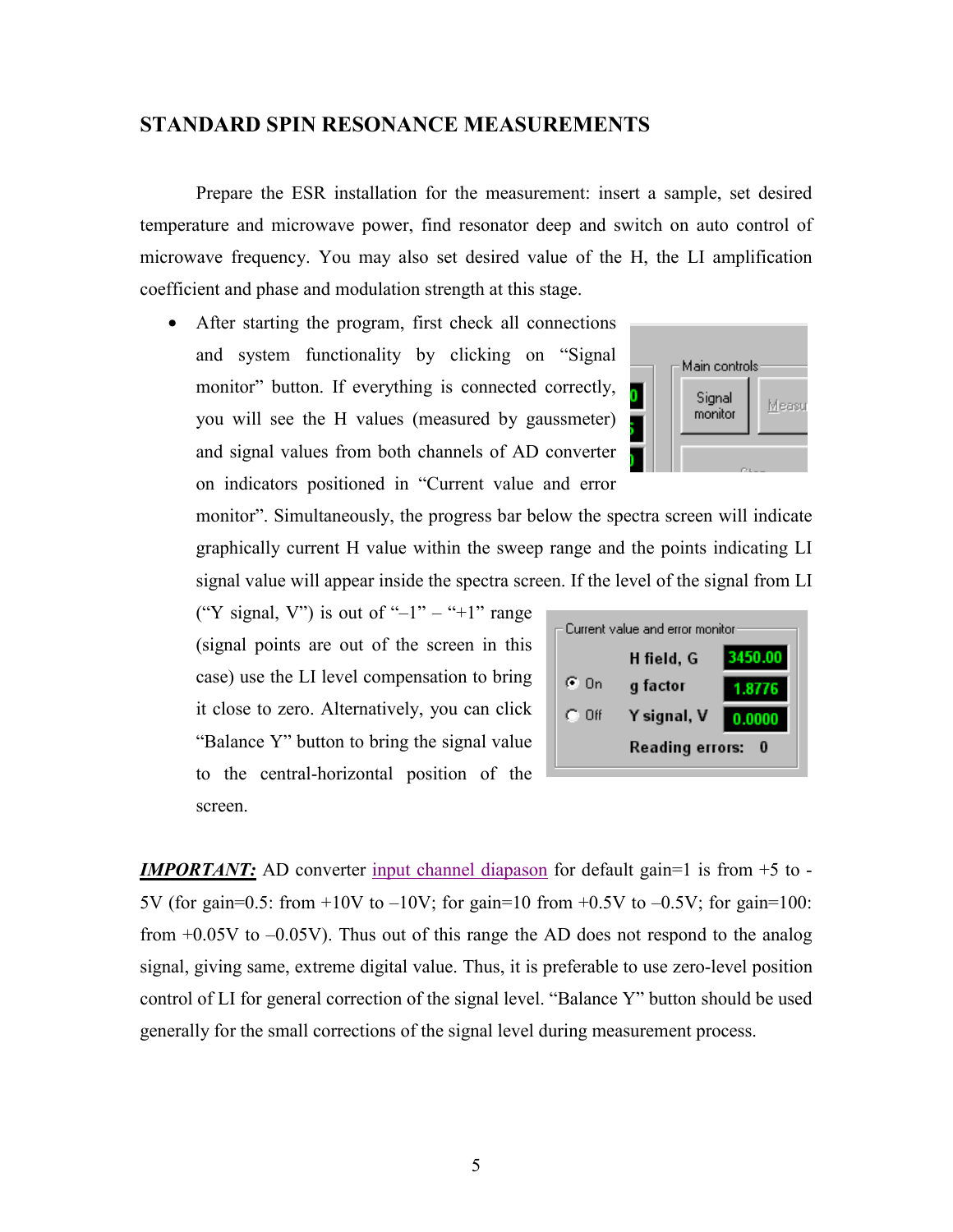#### <span id="page-4-0"></span>**STANDARD SPIN RESONANCE MEASUREMENTS**

 Prepare the ESR installation for the measurement: insert a sample, set desired temperature and microwave power, find resonator deep and switch on auto control of microwave frequency. You may also set desired value of the H, the LI amplification coefficient and phase and modulation strength at this stage.

• After starting the program, first check all connections and system functionality by clicking on "Signal monitor" button. If everything is connected correctly, you will see the H values (measured by gaussmeter) and signal values from both channels of AD converter on indicators positioned in "Current value and error

monitor". Simultaneously, the progress bar below the spectra screen will indicate graphically current H value within the sweep range and the points indicating LI signal value will appear inside the spectra screen. If the level of the signal from LI

("Y signal, V") is out of "-1" – "+1" range (signal points are out of the screen in this case) use the LI level compensation to bring it close to zero. Alternatively, you can click "Balance Y" button to bring the signal value to the central-horizontal position of the screen.



*IMPORTANT*: AD converter [input channel diapason](#page-16-0) for default gain=1 is from +5 to -5V (for gain=0.5: from  $+10V$  to  $-10V$ ; for gain=10 from  $+0.5V$  to  $-0.5V$ ; for gain=100: from +0.05V to –0.05V). Thus out of this range the AD does not respond to the analog signal, giving same, extreme digital value. Thus, it is preferable to use zero-level position control of LI for general correction of the signal level. "Balance Y" button should be used generally for the small corrections of the signal level during measurement process.

| Main controls     |       |
|-------------------|-------|
| Signal<br>monitor | Measu |
|                   |       |
|                   |       |
|                   |       |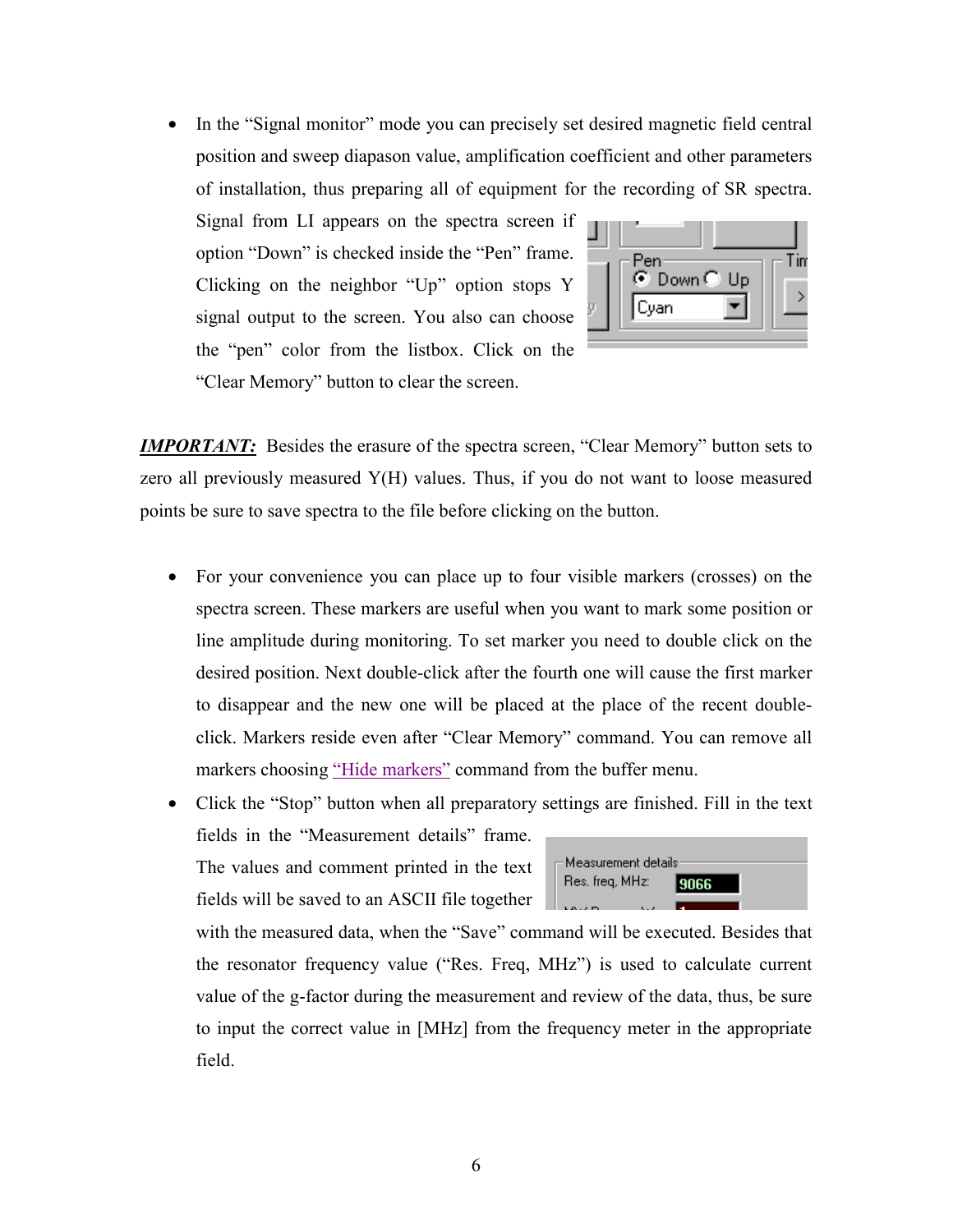<span id="page-5-0"></span>• In the "Signal monitor" mode you can precisely set desired magnetic field central position and sweep diapason value, amplification coefficient and other parameters of installation, thus preparing all of equipment for the recording of SR spectra.

Signal from LI appears on the spectra screen if option "Down" is checked inside the "Pen" frame. Clicking on the neighbor "Up" option stops Y signal output to the screen. You also can choose the "pen" color from the listbox. Click on the "Clear Memory" button to clear the screen.



*IMPORTANT:* Besides the erasure of the spectra screen, "Clear Memory" button sets to zero all previously measured Y(H) values. Thus, if you do not want to loose measured points be sure to save spectra to the file before clicking on the button.

• For your convenience you can place up to four visible markers (crosses) on the spectra screen. These markers are useful when you want to mark some position or line amplitude during monitoring. To set marker you need to double click on the desired position. Next double-click after the fourth one will cause the first marker to disappear and the new one will be placed at the place of the recent doubleclick. Markers reside even after "Clear Memory" command. You can remove all markers choosing ["Hide markers"](#page-11-0) command from the buffer menu.

• Click the "Stop" button when all preparatory settings are finished. Fill in the text fields in the "Measurement details" frame.

The values and comment printed in the text fields will be saved to an ASCII file together



with the measured data, when the "Save" command will be executed. Besides that the resonator frequency value ("Res. Freq, MHz") is used to calculate current value of the g-factor during the measurement and review of the data, thus, be sure to input the correct value in [MHz] from the frequency meter in the appropriate field.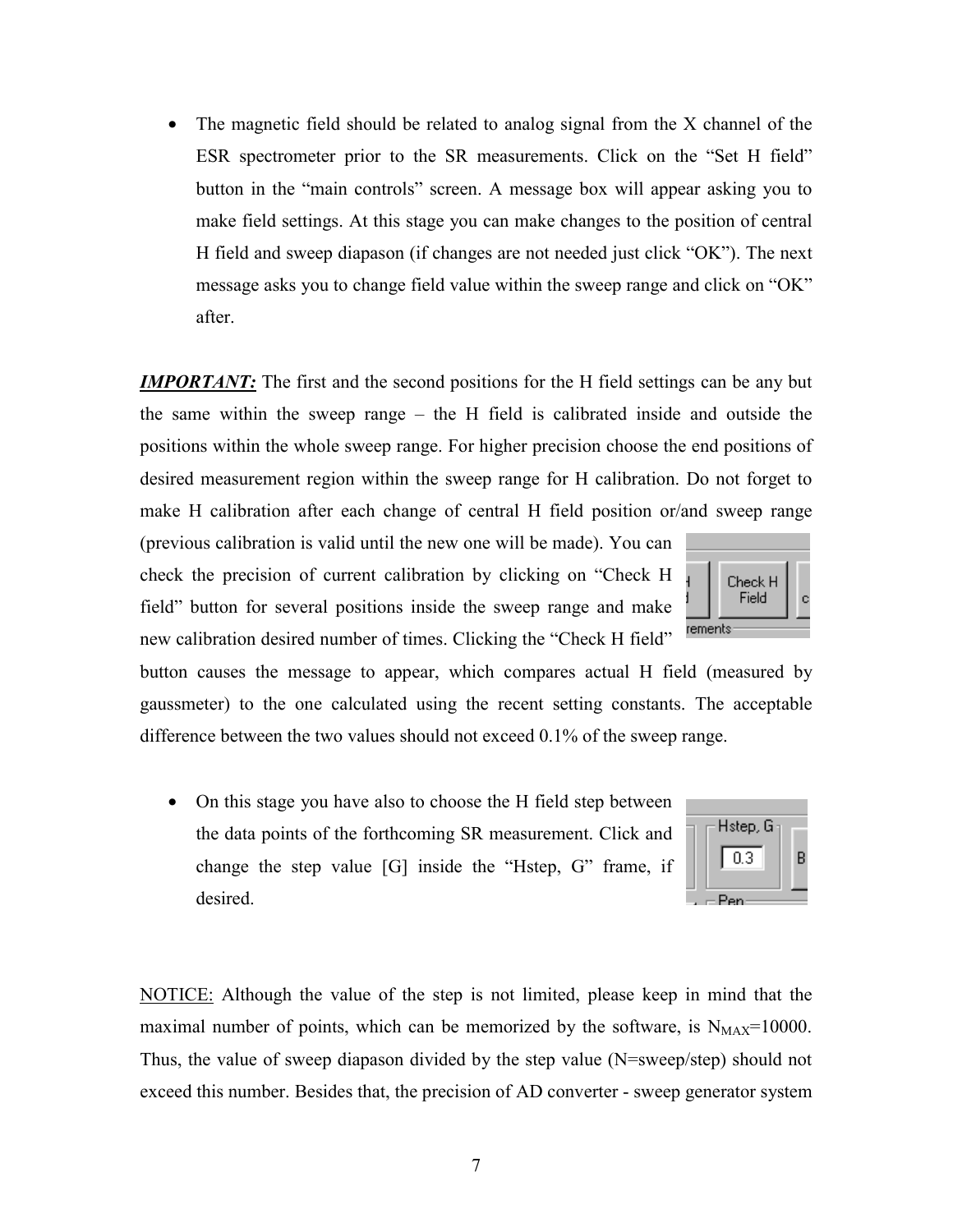- exceed this number. Besides that, the precision of AD converter sweep generator system
	-
- NOTICE: Although the value of the step is not limited, please keep in mind that the maximal number of points, which can be memorized by the software, is  $N_{MAX}=10000$ . Thus, the value of sweep diapason divided by the step value (N=sweep/step) should not
- On this stage you have also to choose the H field step between the data points of the forthcoming SR measurement. Click and change the step value [G] inside the "Hstep, G" frame, if desired.

difference between the two values should not exceed 0.1% of the sweep range.

7

make H calibration after each change of central H field position or/and sweep range Check H Field rements new calibration desired number of times. Clicking the "Check H field"

Hstep, G

 $0.3$ 

 $=$ Pen

 $\mathbf c$ 

B

button in the "main controls" screen. A message box will appear asking you to make field settings. At this stage you can make changes to the position of central H field and sweep diapason (if changes are not needed just click "OK"). The next message asks you to change field value within the sweep range and click on "OK" after.

<span id="page-6-0"></span>• The magnetic field should be related to analog signal from the X channel of the

ESR spectrometer prior to the SR measurements. Click on the "Set H field"

*IMPORTANT:* The first and the second positions for the H field settings can be any but

the same within the sweep range – the H field is calibrated inside and outside the

positions within the whole sweep range. For higher precision choose the end positions of

desired measurement region within the sweep range for H calibration. Do not forget to

button causes the message to appear, which compares actual H field (measured by

gaussmeter) to the one calculated using the recent setting constants. The acceptable

(previous calibration is valid until the new one will be made). You can check the precision of current calibration by clicking on "Check H field" button for several positions inside the sweep range and make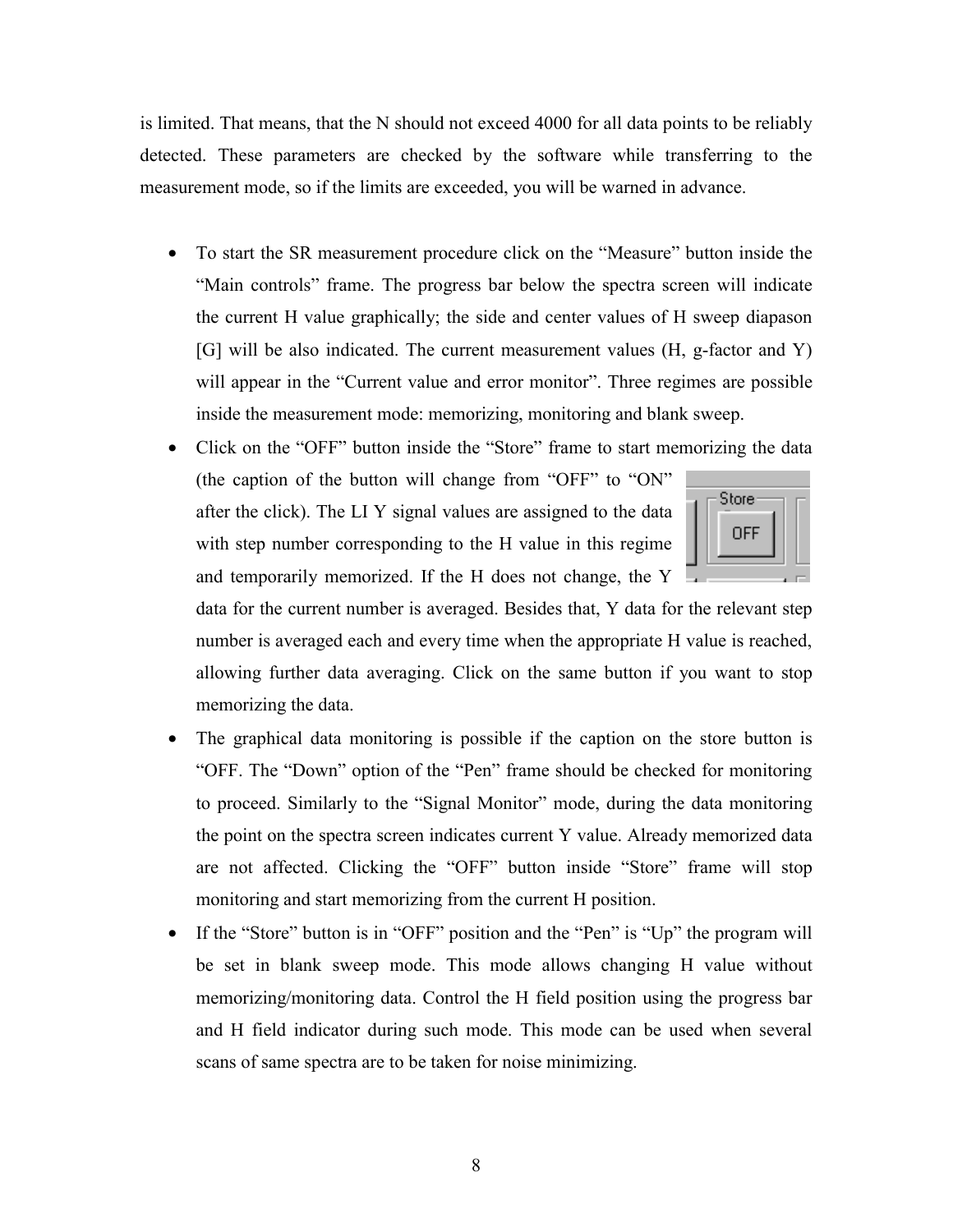is limited. That means, that the N should not exceed 4000 for all data points to be reliably detected. These parameters are checked by the software while transferring to the measurement mode, so if the limits are exceeded, you will be warned in advance.

- To start the SR measurement procedure click on the "Measure" button inside the "Main controls" frame. The progress bar below the spectra screen will indicate the current H value graphically; the side and center values of H sweep diapason [G] will be also indicated. The current measurement values (H, g-factor and Y) will appear in the "Current value and error monitor". Three regimes are possible inside the measurement mode: memorizing, monitoring and blank sweep.
- Click on the "OFF" button inside the "Store" frame to start memorizing the data (the caption of the button will change from "OFF" to "ON" Store after the click). The LI Y signal values are assigned to the data **OFF** with step number corresponding to the H value in this regime and temporarily memorized. If the H does not change, the Y



data for the current number is averaged. Besides that, Y data for the relevant step number is averaged each and every time when the appropriate H value is reached, allowing further data averaging. Click on the same button if you want to stop memorizing the data.

- The graphical data monitoring is possible if the caption on the store button is "OFF. The "Down" option of the "Pen" frame should be checked for monitoring to proceed. Similarly to the "Signal Monitor" mode, during the data monitoring the point on the spectra screen indicates current Y value. Already memorized data are not affected. Clicking the "OFF" button inside "Store" frame will stop monitoring and start memorizing from the current H position.
- If the "Store" button is in "OFF" position and the "Pen" is "Up" the program will be set in blank sweep mode. This mode allows changing H value without memorizing/monitoring data. Control the H field position using the progress bar and H field indicator during such mode. This mode can be used when several scans of same spectra are to be taken for noise minimizing.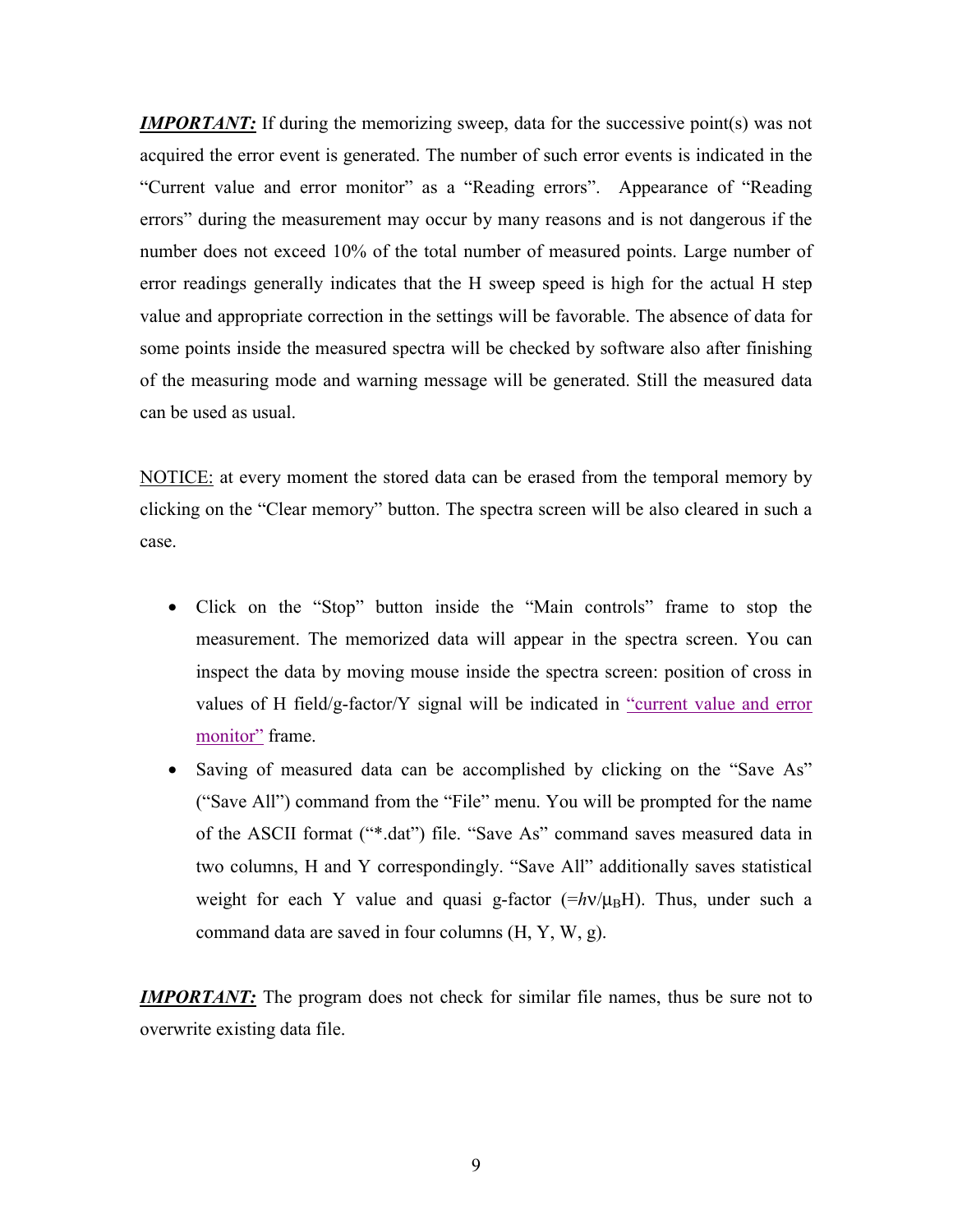<span id="page-8-0"></span>*IMPORTANT*: If during the memorizing sweep, data for the successive point(s) was not acquired the error event is generated. The number of such error events is indicated in the "Current value and error monitor" as a "Reading errors". Appearance of "Reading errors" during the measurement may occur by many reasons and is not dangerous if the number does not exceed 10% of the total number of measured points. Large number of error readings generally indicates that the H sweep speed is high for the actual H step value and appropriate correction in the settings will be favorable. The absence of data for some points inside the measured spectra will be checked by software also after finishing of the measuring mode and warning message will be generated. Still the measured data can be used as usual.

NOTICE: at every moment the stored data can be erased from the temporal memory by clicking on the "Clear memory" button. The spectra screen will be also cleared in such a case.

- Click on the "Stop" button inside the "Main controls" frame to stop the measurement. The memorized data will appear in the spectra screen. You can inspect the data by moving mouse inside the spectra screen: position of cross in values of H field/g-factor/Y signal will be indicated in ["current value and error](#page-4-0)  [monitor"](#page-4-0) frame.
- Saving of measured data can be accomplished by clicking on the "Save As" ("Save All") command from the "File" menu. You will be prompted for the name of the ASCII format ("\*.dat") file. "Save As" command saves measured data in two columns, H and Y correspondingly. "Save All" additionally saves statistical weight for each Y value and quasi g-factor  $(\frac{1}{2}h\nu/\mu_BH)$ . Thus, under such a command data are saved in four columns (H, Y, W, g).

*IMPORTANT*: The program does not check for similar file names, thus be sure not to overwrite existing data file.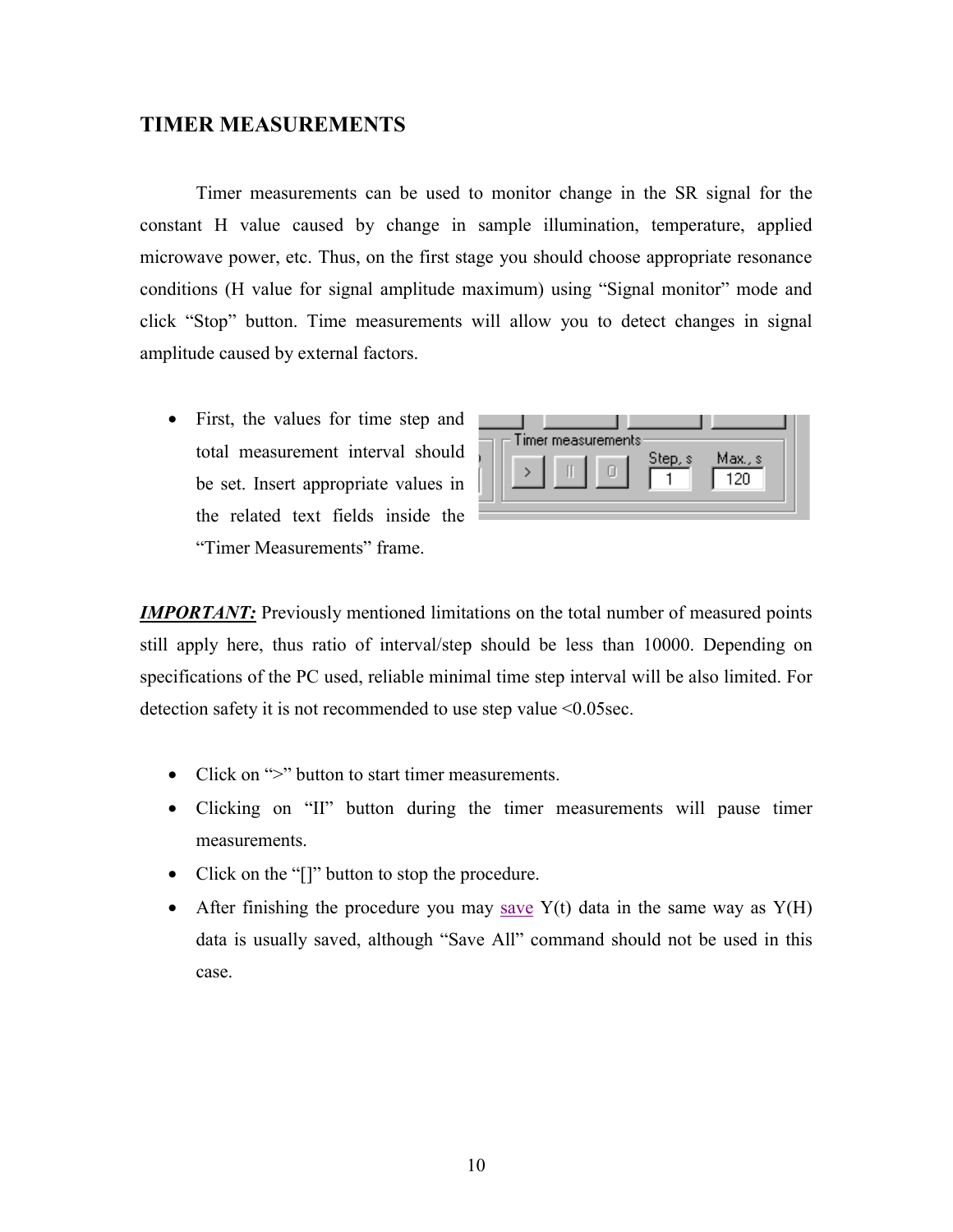#### <span id="page-9-0"></span>**TIMER MEASUREMENTS**

 Timer measurements can be used to monitor change in the SR signal for the constant H value caused by change in sample illumination, temperature, applied microwave power, etc. Thus, on the first stage you should choose appropriate resonance conditions (H value for signal amplitude maximum) using "Signal monitor" mode and click "Stop" button. Time measurements will allow you to detect changes in signal amplitude caused by external factors.

• First, the values for time step and total measurement interval should be set. Insert appropriate values in the related text fields inside the "Timer Measurements" frame.

|  | Timer measurements: |         |                |  |
|--|---------------------|---------|----------------|--|
|  |                     | Step, s | Max., s<br>+20 |  |

*IMPORTANT:* Previously mentioned limitations on the total number of measured points still apply here, thus ratio of interval/step should be less than 10000. Depending on specifications of the PC used, reliable minimal time step interval will be also limited. For detection safety it is not recommended to use step value <0.05sec.

- Click on ">" button to start timer measurements.
- Clicking on "II" button during the timer measurements will pause timer measurements.
- Click on the "[]" button to stop the procedure.
- After finishing the procedure you may [save](#page-8-0)  $Y(t)$  data in the same way as  $Y(H)$ data is usually saved, although "Save All" command should not be used in this case.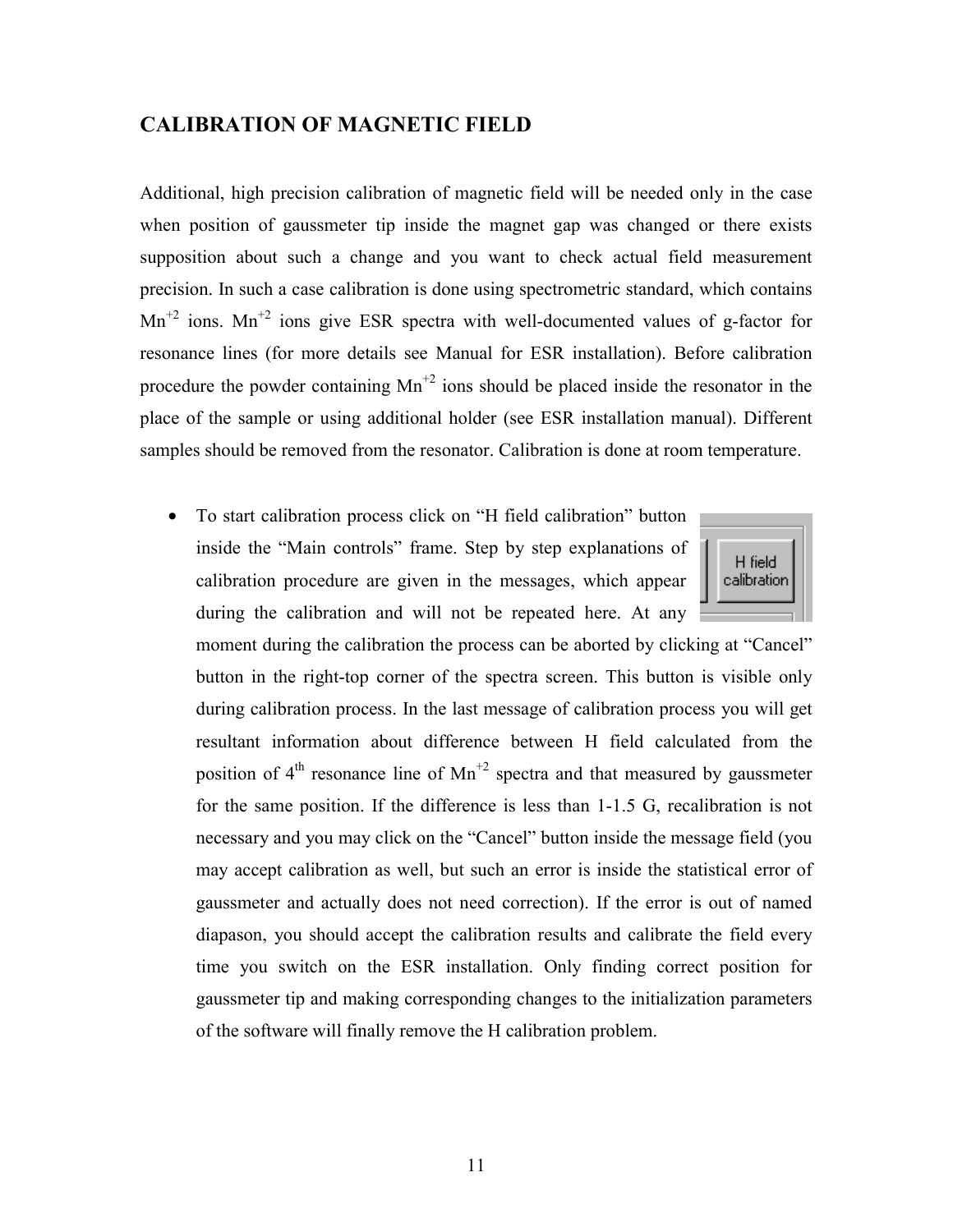#### <span id="page-10-0"></span>**CALIBRATION OF MAGNETIC FIELD**

Additional, high precision calibration of magnetic field will be needed only in the case when position of gaussmeter tip inside the magnet gap was changed or there exists supposition about such a change and you want to check actual field measurement precision. In such a case calibration is done using spectrometric standard, which contains  $Mn^{2}$  ions.  $Mn^{2}$  ions give ESR spectra with well-documented values of g-factor for resonance lines (for more details see Manual for ESR installation). Before calibration procedure the powder containing  $Mn^{2}$  ions should be placed inside the resonator in the place of the sample or using additional holder (see ESR installation manual). Different samples should be removed from the resonator. Calibration is done at room temperature.

• To start calibration process click on "H field calibration" button inside the "Main controls" frame. Step by step explanations of calibration procedure are given in the messages, which appear during the calibration and will not be repeated here. At any



moment during the calibration the process can be aborted by clicking at "Cancel" button in the right-top corner of the spectra screen. This button is visible only during calibration process. In the last message of calibration process you will get resultant information about difference between H field calculated from the position of  $4<sup>th</sup>$  resonance line of Mn<sup>+2</sup> spectra and that measured by gaussmeter for the same position. If the difference is less than 1-1.5 G, recalibration is not necessary and you may click on the "Cancel" button inside the message field (you may accept calibration as well, but such an error is inside the statistical error of gaussmeter and actually does not need correction). If the error is out of named diapason, you should accept the calibration results and calibrate the field every time you switch on the ESR installation. Only finding correct position for gaussmeter tip and making corresponding changes to the initialization parameters of the software will finally remove the H calibration problem.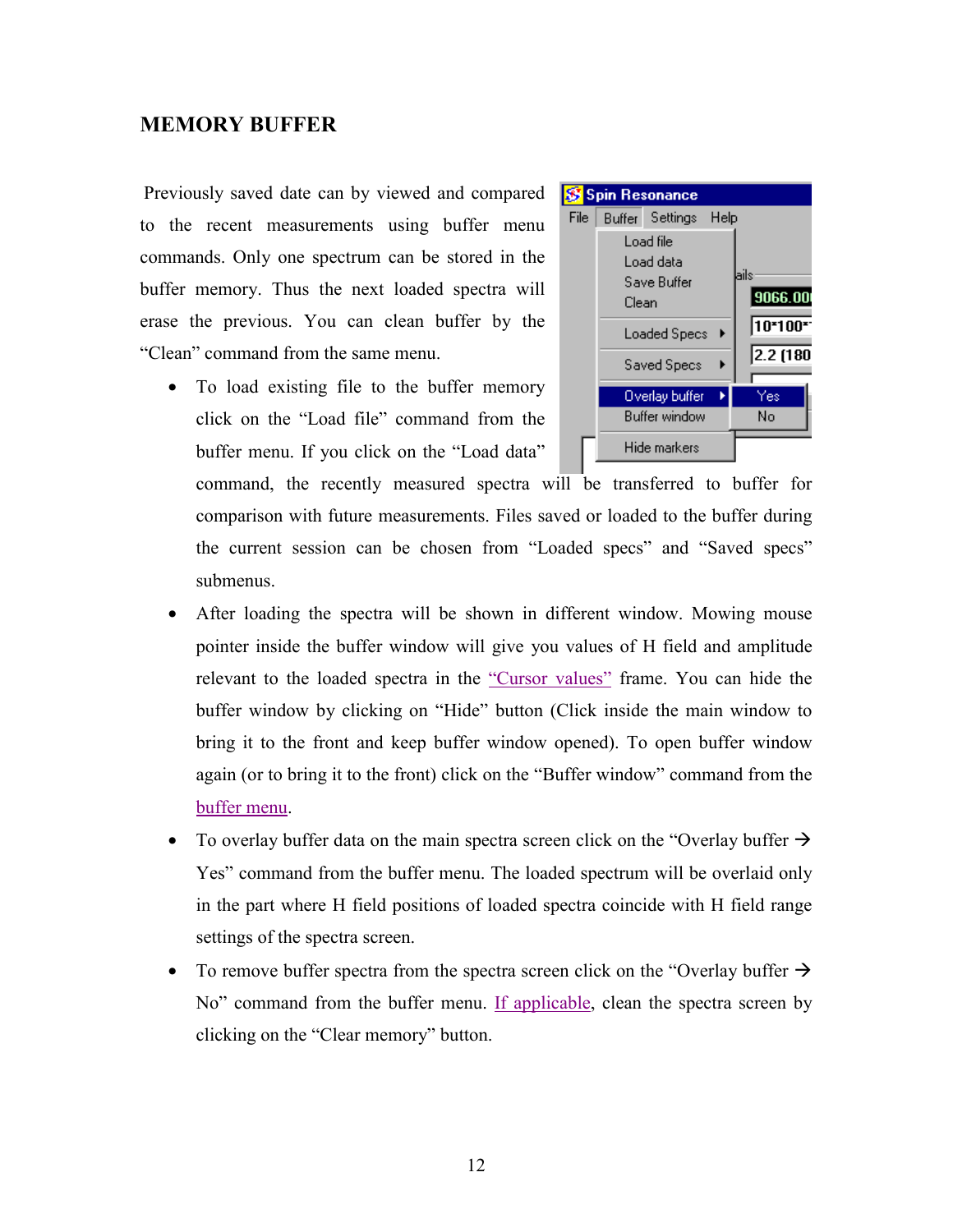#### <span id="page-11-0"></span>**MEMORY BUFFER**

Previously saved date can by viewed and compared to the recent measurements using buffer menu commands. Only one spectrum can be stored in the buffer memory. Thus the next loaded spectra will erase the previous. You can clean buffer by the "Clean" command from the same menu.

• To load existing file to the buffer memory click on the "Load file" command from the buffer menu. If you click on the "Load data"

command, the recently measured spectra will be transferred to buffer for comparison with future measurements. Files saved or loaded to the buffer during the current session can be chosen from "Loaded specs" and "Saved specs" submenus.

- After loading the spectra will be shown in different window. Mowing mouse pointer inside the buffer window will give you values of H field and amplitude relevant to the loaded spectra in the ["Cursor values"](#page-12-0) frame. You can hide the buffer window by clicking on "Hide" button (Click inside the main window to bring it to the front and keep buffer window opened). To open buffer window again (or to bring it to the front) click on the "Buffer window" command from the buffer menu.
- To overlay buffer data on the main spectra screen click on the "Overlay buffer  $\rightarrow$ Yes" command from the buffer menu. The loaded spectrum will be overlaid only in the part where H field positions of loaded spectra coincide with H field range settings of the spectra screen.
- To remove buffer spectra from the spectra screen click on the "Overlay buffer  $\rightarrow$ No" command from the buffer menu. [If applicable,](#page-5-0) clean the spectra screen by clicking on the "Clear memory" button.

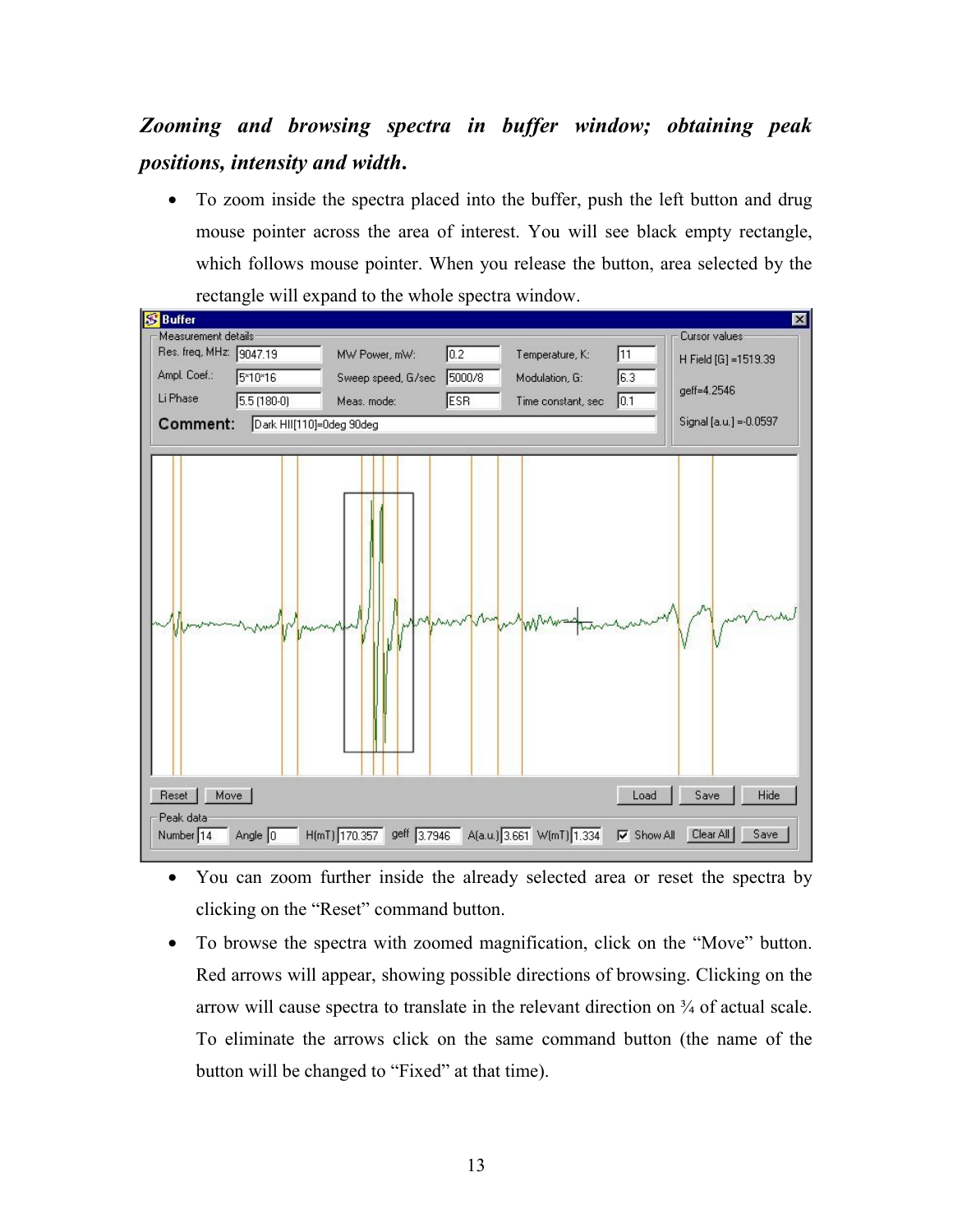# <span id="page-12-0"></span>*Zooming and browsing spectra in buffer window; obtaining peak positions, intensity and width***.**

• To zoom inside the spectra placed into the buffer, push the left button and drug mouse pointer across the area of interest. You will see black empty rectangle, which follows mouse pointer. When you release the button, area selected by the rectangle will expand to the whole spectra window.



- You can zoom further inside the already selected area or reset the spectra by clicking on the "Reset" command button.
- To browse the spectra with zoomed magnification, click on the "Move" button. Red arrows will appear, showing possible directions of browsing. Clicking on the arrow will cause spectra to translate in the relevant direction on  $\frac{3}{4}$  of actual scale. To eliminate the arrows click on the same command button (the name of the button will be changed to "Fixed" at that time).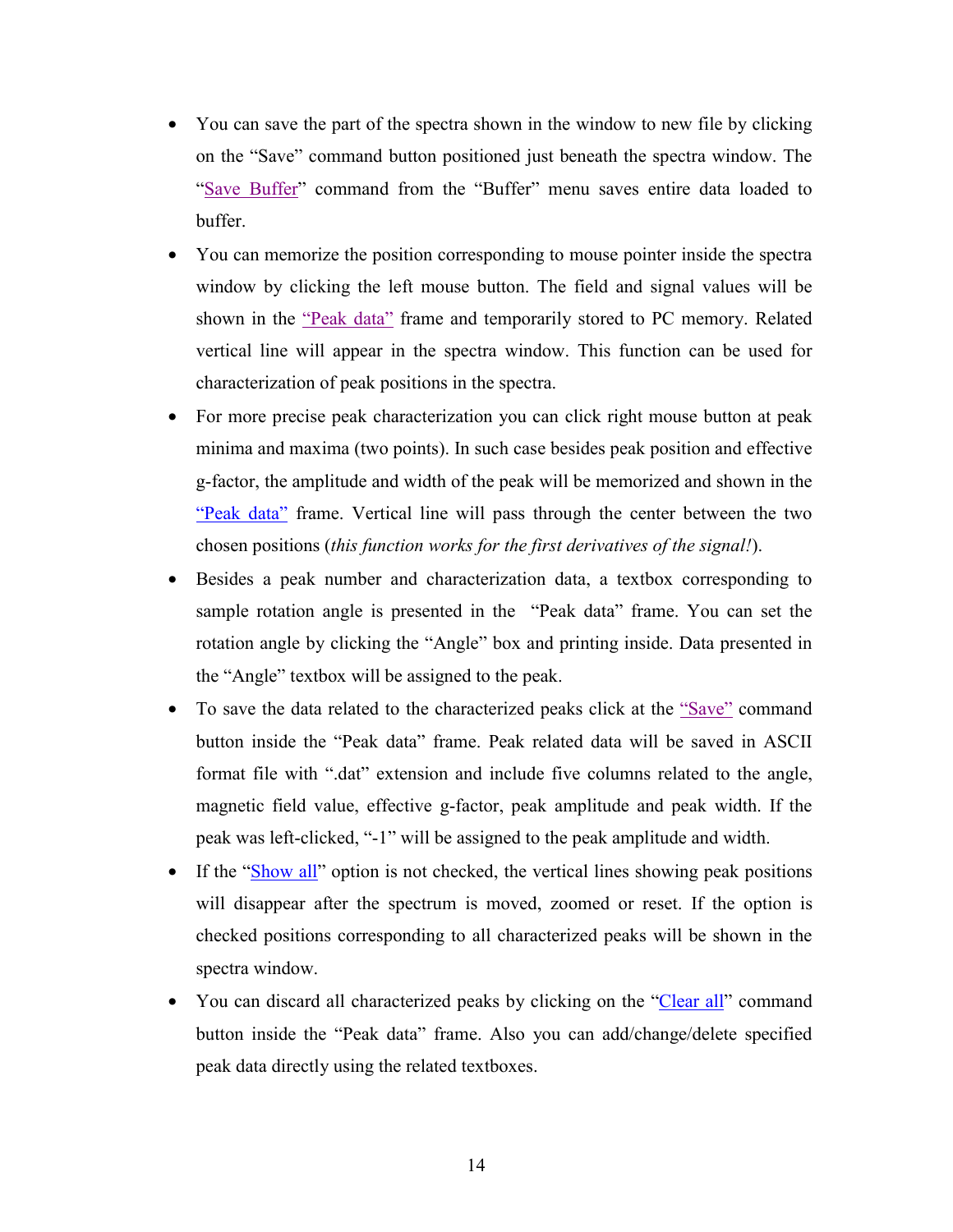- You can save the part of the spectra shown in the window to new file by clicking on the "Save" command button positioned just beneath the spectra window. The ["Save Buffer"](#page-11-0) command from the "Buffer" menu saves entire data loaded to buffer.
- You can memorize the position corresponding to mouse pointer inside the spectra window by clicking the left mouse button. The field and signal values will be shown in the ["Peak data"](#page-12-0) frame and temporarily stored to PC memory. Related vertical line will appear in the spectra window. This function can be used for characterization of peak positions in the spectra.
- For more precise peak characterization you can click right mouse button at peak minima and maxima (two points). In such case besides peak position and effective g-factor, the amplitude and width of the peak will be memorized and shown in the ["Peak data"](#page-12-0) frame. Vertical line will pass through the center between the two chosen positions (*this function works for the first derivatives of the signal!*).
- Besides a peak number and characterization data, a textbox corresponding to sample rotation angle is presented in the "Peak data" frame. You can set the rotation angle by clicking the "Angle" box and printing inside. Data presented in the "Angle" textbox will be assigned to the peak.
- To save the data related to the characterized peaks click at the ["Save"](#page-12-0) command button inside the "Peak data" frame. Peak related data will be saved in ASCII format file with ".dat" extension and include five columns related to the angle, magnetic field value, effective g-factor, peak amplitude and peak width. If the peak was left-clicked, "-1" will be assigned to the peak amplitude and width.
- If the ["Show all"](#page-12-0) option is not checked, the vertical lines showing peak positions will disappear after the spectrum is moved, zoomed or reset. If the option is checked positions corresponding to all characterized peaks will be shown in the spectra window.
- You can discard all characterized peaks by clicking on the ["Clear all"](#page-12-0) command button inside the "Peak data" frame. Also you can add/change/delete specified peak data directly using the related textboxes.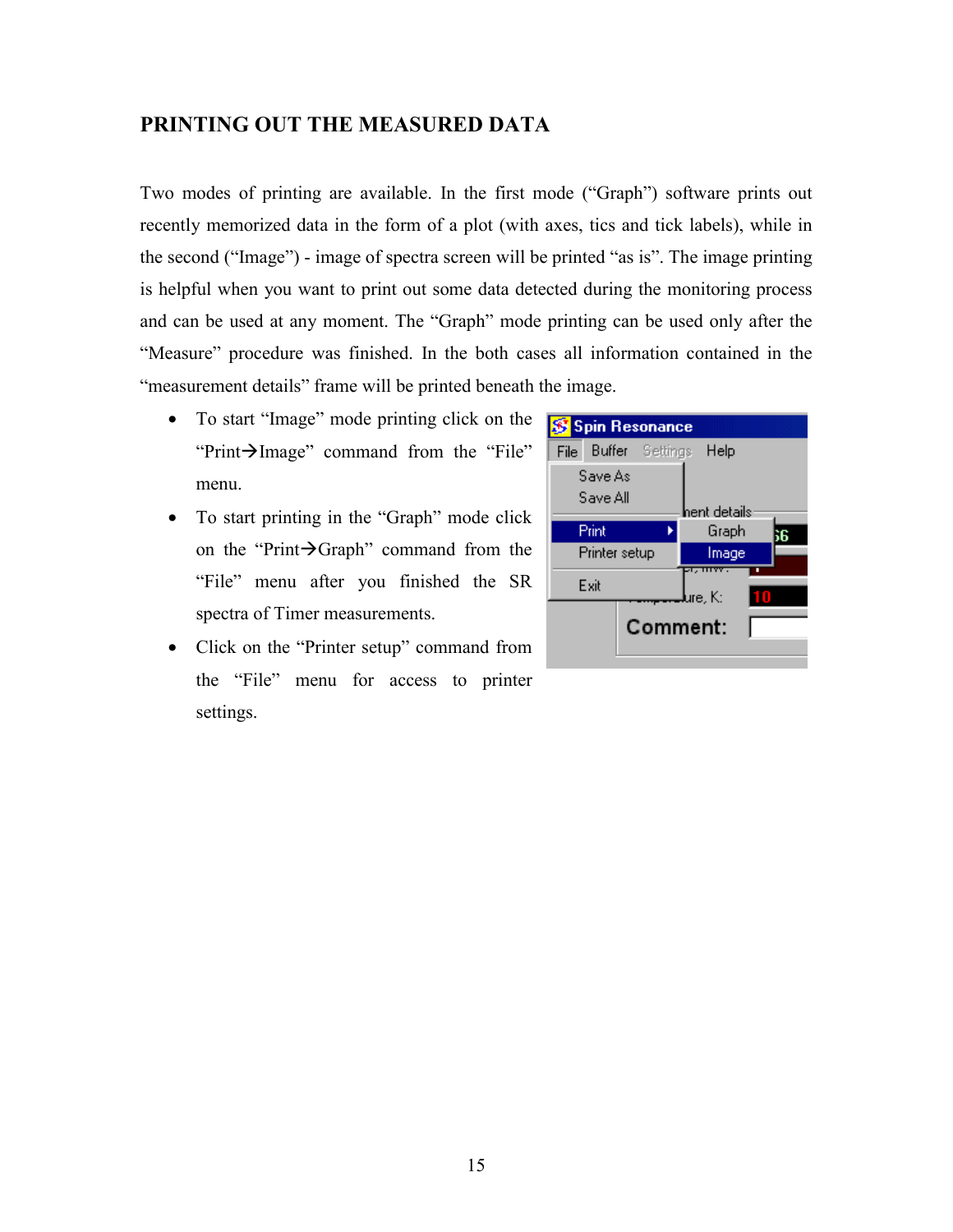#### <span id="page-14-0"></span>**PRINTING OUT THE MEASURED DATA**

Two modes of printing are available. In the first mode ("Graph") software prints out recently memorized data in the form of a plot (with axes, tics and tick labels), while in the second ("Image") - image of spectra screen will be printed "as is". The image printing is helpful when you want to print out some data detected during the monitoring process and can be used at any moment. The "Graph" mode printing can be used only after the "Measure" procedure was finished. In the both cases all information contained in the "measurement details" frame will be printed beneath the image.

- To start "Image" mode printing click on the "Print $\rightarrow$ Image" command from the "File" menu.
- To start printing in the "Graph" mode click on the "Print $\rightarrow$ Graph" command from the "File" menu after you finished the SR spectra of Timer measurements.
- Click on the "Printer setup" command from the "File" menu for access to printer settings.

| Spin Resonance            |              |
|---------------------------|--------------|
| File Buffer Settings Help |              |
| Save As                   |              |
| Save All                  | hent details |
| Print                     | Graph        |
| Printer setup             | Image        |
| Exit                      | ure. K:<br>П |
| Comment:                  |              |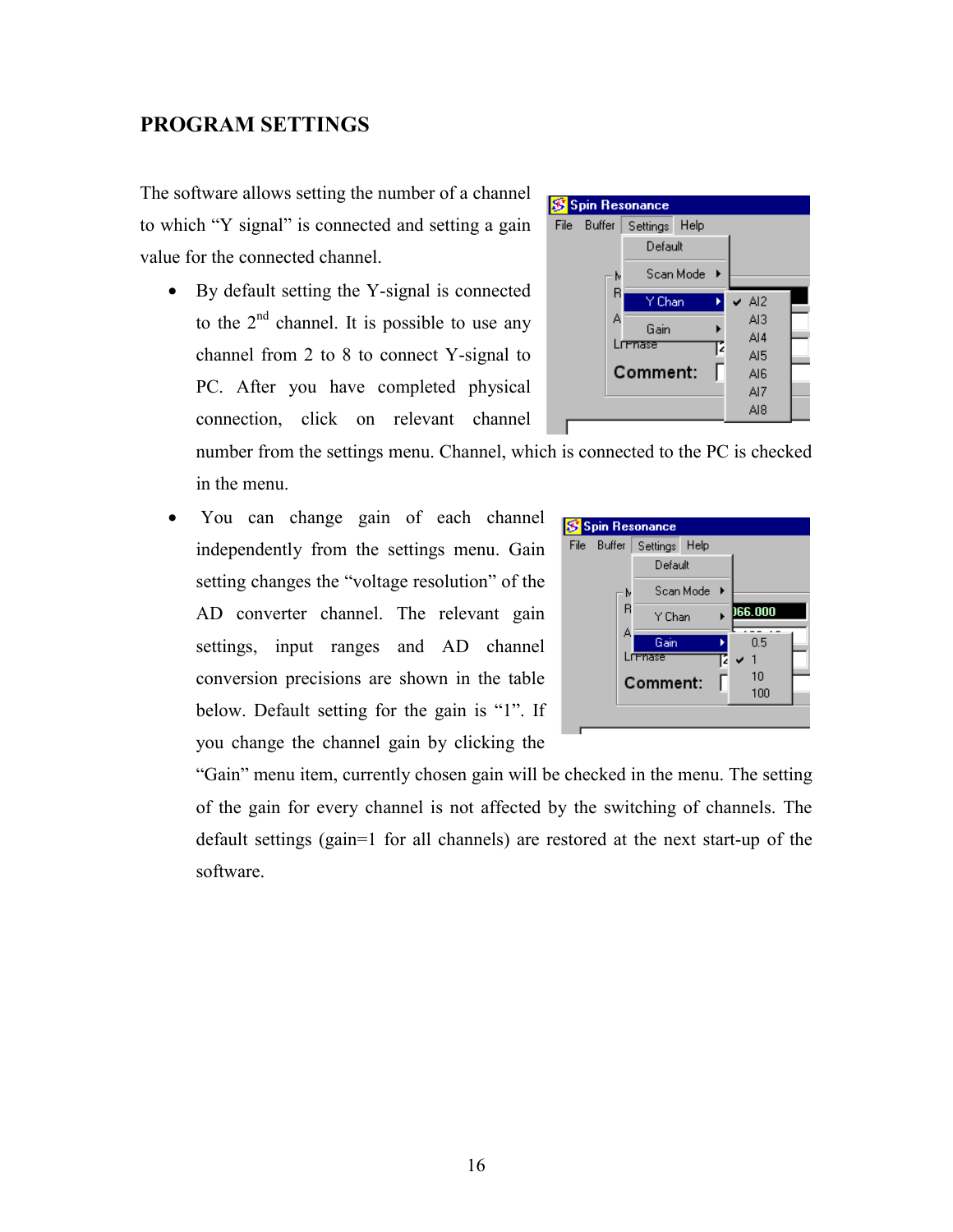## <span id="page-15-0"></span>**PROGRAM SETTINGS**

The software allows setting the number of a channel to which "Y signal" is connected and setting a gain value for the connected channel.

• By default setting the Y-signal is connected to the  $2<sup>nd</sup>$  channel. It is possible to use any channel from 2 to 8 to connect Y-signal to PC. After you have completed physical connection, click on relevant channel



number from the settings menu. Channel, which is connected to the PC is checked in the menu.

• You can change gain of each channel independently from the settings menu. Gain setting changes the "voltage resolution" of the AD converter channel. The relevant gain settings, input ranges and AD channel conversion precisions are shown in the table below. Default setting for the gain is "1". If you change the channel gain by clicking the



"Gain" menu item, currently chosen gain will be checked in the menu. The setting of the gain for every channel is not affected by the switching of channels. The default settings (gain=1 for all channels) are restored at the next start-up of the software.